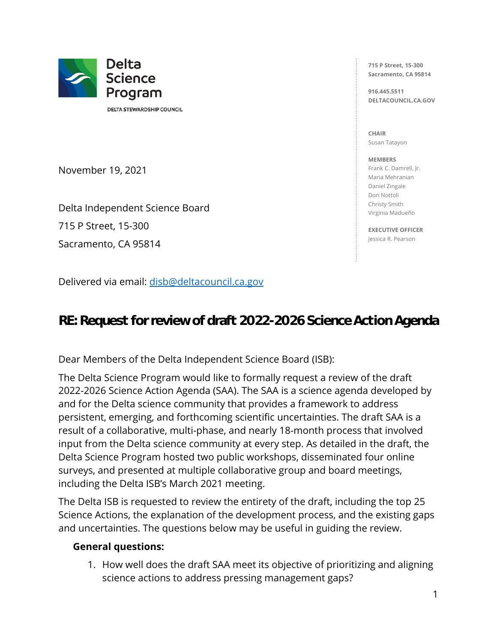

DELTA STEWARDSHIP COUNCIL

November 19, 2021

Delta Independent Science Board 715 P Street, 15-300 Sacramento, CA 95814

Delivered via email: [disb@deltacouncil.ca.gov](mailto:disb@deltacouncil.ca.gov)

**715 P Street, 15-300 Sacramento, CA 95814** 

**916.445.5511 DELTACOUNCIL.CA.GOV** 

**CHAIR**  Susan Tatayon

**MEMBERS**  Frank C. Damrell, Jr. Maria Mehranian Daniel Zingale Don Nottoli Christy Smith Virginia Madueño

**EXECUTIVE OFFICER**  Jessica R. Pearson

**RE: Request for review of draft 2022-2026 Science Action Agenda**

Dear Members of the Delta Independent Science Board (ISB):

The Delta Science Program would like to formally request a review of the draft 2022-2026 Science Action Agenda (SAA). The SAA is a science agenda developed by and for the Delta science community that provides a framework to address persistent, emerging, and forthcoming scientific uncertainties. The draft SAA is a result of a collaborative, multi-phase, and nearly 18-month process that involved input from the Delta science community at every step. As detailed in the draft, the Delta Science Program hosted two public workshops, disseminated four online surveys, and presented at multiple collaborative group and board meetings, including the Delta ISB's March 2021 meeting.

The Delta ISB is requested to review the entirety of the draft, including the top 25 Science Actions, the explanation of the development process, and the existing gaps and uncertainties. The questions below may be useful in guiding the review.

#### **General questions:**

1. How well does the draft SAA meet its objective of prioritizing and aligning science actions to address pressing management gaps?